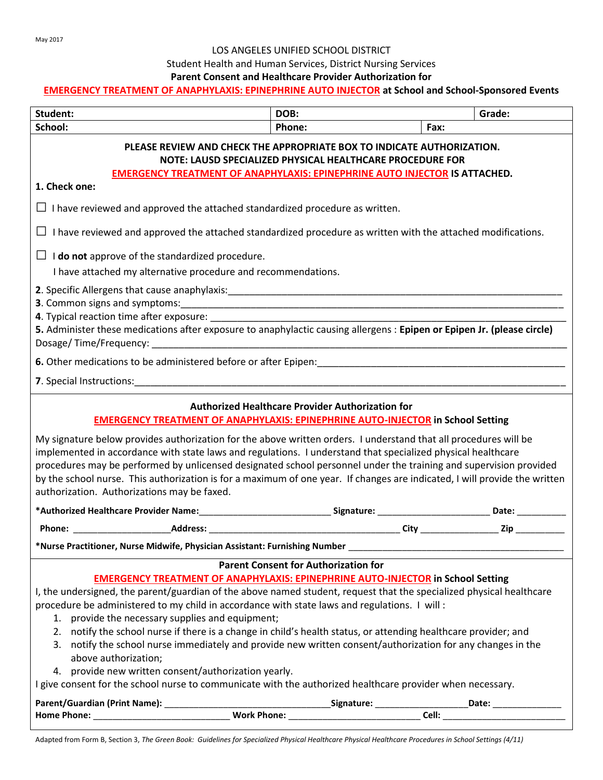#### LOS ANGELES UNIFIED SCHOOL DISTRICT

## Student Health and Human Services, District Nursing Services

#### **Parent Consent and Healthcare Provider Authorization for**

#### **EMERGENCY TREATMENT OF ANAPHYLAXIS: EPINEPHRINE AUTO INJECTOR at School and School-Sponsored Events**

| Student:                                                                                                                                                                                                                                                                                                                                                                                                                                                                                                                                                                                             | DOB:   | Grade:                                                                                    |  |
|------------------------------------------------------------------------------------------------------------------------------------------------------------------------------------------------------------------------------------------------------------------------------------------------------------------------------------------------------------------------------------------------------------------------------------------------------------------------------------------------------------------------------------------------------------------------------------------------------|--------|-------------------------------------------------------------------------------------------|--|
| School:                                                                                                                                                                                                                                                                                                                                                                                                                                                                                                                                                                                              | Phone: | Fax:                                                                                      |  |
| PLEASE REVIEW AND CHECK THE APPROPRIATE BOX TO INDICATE AUTHORIZATION.<br>NOTE: LAUSD SPECIALIZED PHYSICAL HEALTHCARE PROCEDURE FOR<br><b>EMERGENCY TREATMENT OF ANAPHYLAXIS: EPINEPHRINE AUTO INJECTOR IS ATTACHED.</b>                                                                                                                                                                                                                                                                                                                                                                             |        |                                                                                           |  |
| 1. Check one:                                                                                                                                                                                                                                                                                                                                                                                                                                                                                                                                                                                        |        |                                                                                           |  |
| $\Box$ I have reviewed and approved the attached standardized procedure as written.                                                                                                                                                                                                                                                                                                                                                                                                                                                                                                                  |        |                                                                                           |  |
| $\Box$ I have reviewed and approved the attached standardized procedure as written with the attached modifications.                                                                                                                                                                                                                                                                                                                                                                                                                                                                                  |        |                                                                                           |  |
| $\Box$ <b>I do not</b> approve of the standardized procedure.                                                                                                                                                                                                                                                                                                                                                                                                                                                                                                                                        |        |                                                                                           |  |
| I have attached my alternative procedure and recommendations.                                                                                                                                                                                                                                                                                                                                                                                                                                                                                                                                        |        |                                                                                           |  |
| 5. Administer these medications after exposure to anaphylactic causing allergens : Epipen or Epipen Jr. (please circle)                                                                                                                                                                                                                                                                                                                                                                                                                                                                              |        |                                                                                           |  |
|                                                                                                                                                                                                                                                                                                                                                                                                                                                                                                                                                                                                      |        |                                                                                           |  |
| <b>7.</b> Special Instructions: <b>Example 2.</b> Special systems of the set of the set of the set of the set of the set of the set of the set of the set of the set of the set of the set of the set of the set of the set of the set o                                                                                                                                                                                                                                                                                                                                                             |        |                                                                                           |  |
| <b>Authorized Healthcare Provider Authorization for</b><br><b>EMERGENCY TREATMENT OF ANAPHYLAXIS: EPINEPHRINE AUTO-INJECTOR in School Setting</b>                                                                                                                                                                                                                                                                                                                                                                                                                                                    |        |                                                                                           |  |
| My signature below provides authorization for the above written orders. I understand that all procedures will be<br>implemented in accordance with state laws and regulations. I understand that specialized physical healthcare<br>procedures may be performed by unlicensed designated school personnel under the training and supervision provided<br>by the school nurse. This authorization is for a maximum of one year. If changes are indicated, I will provide the written<br>authorization. Authorizations may be faxed.                                                                   |        |                                                                                           |  |
|                                                                                                                                                                                                                                                                                                                                                                                                                                                                                                                                                                                                      |        |                                                                                           |  |
|                                                                                                                                                                                                                                                                                                                                                                                                                                                                                                                                                                                                      |        |                                                                                           |  |
| *Nurse Practitioner, Nurse Midwife, Physician Assistant: Furnishing Number _____                                                                                                                                                                                                                                                                                                                                                                                                                                                                                                                     |        |                                                                                           |  |
| <b>Parent Consent for Authorization for</b>                                                                                                                                                                                                                                                                                                                                                                                                                                                                                                                                                          |        |                                                                                           |  |
| <b>EMERGENCY TREATMENT OF ANAPHYLAXIS: EPINEPHRINE AUTO-INJECTOR in School Setting</b><br>I, the undersigned, the parent/guardian of the above named student, request that the specialized physical healthcare<br>procedure be administered to my child in accordance with state laws and regulations. I will:<br>1. provide the necessary supplies and equipment;<br>2. notify the school nurse if there is a change in child's health status, or attending healthcare provider; and<br>3. notify the school nurse immediately and provide new written consent/authorization for any changes in the |        |                                                                                           |  |
| above authorization;<br>4. provide new written consent/authorization yearly.                                                                                                                                                                                                                                                                                                                                                                                                                                                                                                                         |        |                                                                                           |  |
| I give consent for the school nurse to communicate with the authorized healthcare provider when necessary.                                                                                                                                                                                                                                                                                                                                                                                                                                                                                           |        |                                                                                           |  |
|                                                                                                                                                                                                                                                                                                                                                                                                                                                                                                                                                                                                      |        | Signature: _____________________________Date: __________________________________<br>Cell: |  |

Adapted from Form B, Section 3, *The Green Book: Guidelines for Specialized Physical Healthcare Physical Healthcare Procedures in School Settings (4/11)*